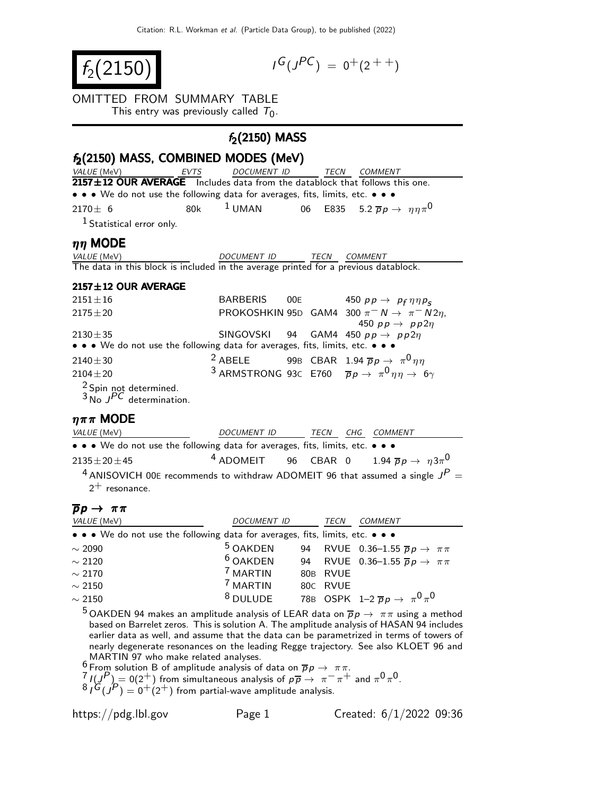$f_2(2150)$ 

$$
I^G(J^{PC}) = 0^+(2^{++})
$$

### OMITTED FROM SUMMARY TABLE

This entry was previously called  $T_0$ .

# $f_2(2150)$  MASS

| $f_2(2150)$ MASS, COMBINED MODES (MeV)                                              |         |                  |  |             |                                                                                      |
|-------------------------------------------------------------------------------------|---------|------------------|--|-------------|--------------------------------------------------------------------------------------|
| VALUE (MeV)                                                                         | EVTS    | DOCUMENT ID      |  | <b>TECN</b> | COMMENT                                                                              |
| 2157±12 OUR AVERAGE Includes data from the datablock that follows this one.         |         |                  |  |             |                                                                                      |
| • • • We do not use the following data for averages, fits, limits, etc. • • •       |         |                  |  |             |                                                                                      |
| $2170 \pm 6$                                                                        | 80k - 1 |                  |  |             | <sup>1</sup> UMAN 06 E835 5.2 $\overline{p}p \rightarrow \eta \eta \pi$ <sup>0</sup> |
| $1$ Statistical error only.                                                         |         |                  |  |             |                                                                                      |
| $\eta\eta$ MODE                                                                     |         |                  |  |             |                                                                                      |
| <i>VALUE</i> (MeV)                                                                  |         | DOCUMENT ID TECN |  |             | <i>COMMENT</i>                                                                       |
| The data in this block is included in the average printed for a previous datablock. |         |                  |  |             |                                                                                      |
| $2157 \pm 12$ OUR AVERAGE                                                           |         |                  |  |             |                                                                                      |

| $2151 \pm 16$                                                                 | BARBERIS ODE |  | 450 $pp \rightarrow pp \eta \eta p_S$                                                           |
|-------------------------------------------------------------------------------|--------------|--|-------------------------------------------------------------------------------------------------|
| $2175 \pm 20$                                                                 |              |  | PROKOSHKIN 95D GAM4 300 $\pi^- N \to \pi^- N 2\eta$ ,                                           |
|                                                                               |              |  | 450 $pp \rightarrow pp 2\eta$                                                                   |
| $2130 \pm 35$                                                                 |              |  | SINGOVSKI 94 GAM4 450 $pp \rightarrow pp2\eta$                                                  |
| • • • We do not use the following data for averages, fits, limits, etc. • • • |              |  |                                                                                                 |
| $2140 \pm 30$                                                                 |              |  | <sup>2</sup> ABELE 99B CBAR 1.94 $\overline{p}p \rightarrow \pi^0 \eta \eta$                    |
| $2104 \pm 20$                                                                 |              |  | <sup>3</sup> ARMSTRONG 93C E760 $\overline{p}p \rightarrow \pi^0 \eta \eta \rightarrow 6\gamma$ |
| $^2$ Spin not determined.<br>3 No JPC determination.                          |              |  |                                                                                                 |
|                                                                               |              |  |                                                                                                 |

#### $\eta \pi \pi$  MODE

| <i>VALUE</i> (MeV)                                                                         | DOCUMENT ID                                                                   | TECN CHG COMMENT |  |
|--------------------------------------------------------------------------------------------|-------------------------------------------------------------------------------|------------------|--|
| • • • We do not use the following data for averages, fits, limits, etc. • • •              |                                                                               |                  |  |
| $2135 \pm 20 \pm 45$                                                                       | <sup>4</sup> ADOMEIT 96 CBAR 0 1.94 $\overline{p}p \rightarrow \eta 3\pi^{0}$ |                  |  |
| <sup>4</sup> ANISOVICH 00E recommends to withdraw ADOMEIT 96 that assumed a single $J^P$ = |                                                                               |                  |  |

 $2^+$  resonance.

## $\overline{p}p \rightarrow \pi \pi$

| VALUE (MeV)                                                                   | <b>DOCUMENT ID</b>  | TECN     | COMMENT                                               |
|-------------------------------------------------------------------------------|---------------------|----------|-------------------------------------------------------|
| • • • We do not use the following data for averages, fits, limits, etc. • • • |                     |          |                                                       |
| $\sim$ 2090                                                                   | <sup>5</sup> OAKDEN |          | 94 RVUE 0.36-1.55 $\overline{p}p \rightarrow \pi \pi$ |
| $\sim$ 2120                                                                   | <sup>6</sup> OAKDEN |          | 94 RVUE 0.36-1.55 $\overline{p}p \rightarrow \pi\pi$  |
| $\sim$ 2170                                                                   | <sup>7</sup> MARTIN | 80B RVUE |                                                       |
| $\sim$ 2150                                                                   | <sup>7</sup> MARTIN | 80C RVUE |                                                       |
| $\sim$ 2150                                                                   | $8$ DULUDE          |          | 78B OSPK 1-2 $\overline{p}p \rightarrow \pi^0 \pi^0$  |

5 OAKDEN 94 makes an amplitude analysis of LEAR data on  $\overline{p}p \rightarrow \pi \pi$  using a method based on Barrelet zeros. This is solution A. The amplitude analysis of HASAN 94 includes earlier data as well, and assume that the data can be parametrized in terms of towers of nearly degenerate resonances on the leading Regge trajectory. See also KLOET 96 and MARTIN 97 who make related analyses.

 $\frac{6}{5}$  From solution B of amplitude analysis of data on  $\overline{p}p \rightarrow \pi \pi$ .

 $7 \ I(\mathcal{F}) = 0(2^+)$  from simultaneous analysis of  $p\overline{p} \rightarrow \pi^- \pi^+$  and  $\pi^0 \pi^0$ .

 ${}^8I^G(J^P) = 0^+(2^+)$  from partial-wave amplitude analysis.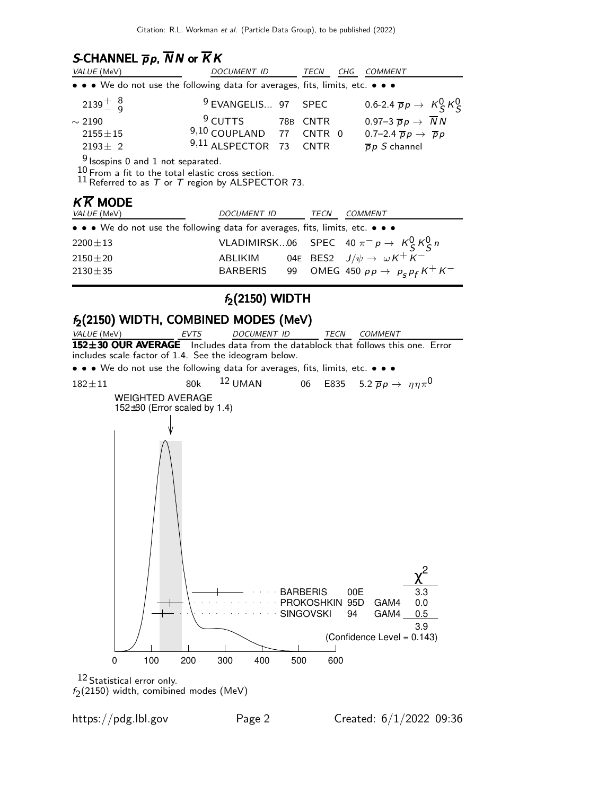# S-CHANNEL  $\overline{p}p$ ,  $\overline{N}N$  or  $\overline{K}K$

| VALUE (MeV)                                                                                                                                                                        | <i>DOCUMENT ID</i>                                                            | TECN | CHG | <b>COMMENT</b>                                    |  |  |
|------------------------------------------------------------------------------------------------------------------------------------------------------------------------------------|-------------------------------------------------------------------------------|------|-----|---------------------------------------------------|--|--|
| • • • We do not use the following data for averages, fits, limits, etc. • • •                                                                                                      |                                                                               |      |     |                                                   |  |  |
| $2139^{+8}_{-9}$                                                                                                                                                                   | <sup>9</sup> EVANGELIS 97 SPEC                                                |      |     | 0.6-2.4 $\overline{p}p \rightarrow K_S^0 K_S^0$   |  |  |
| $\sim$ 2190                                                                                                                                                                        | <sup>9</sup> CUTTS 78B CNTR                                                   |      |     | 0.97-3 $\overline{p}p \rightarrow \overline{N}N$  |  |  |
| $2155 \pm 15$                                                                                                                                                                      | $9,10$ COUPLAND 77 CNTR 0                                                     |      |     | 0.7-2.4 $\overline{p}p \rightarrow \overline{p}p$ |  |  |
| $2193 \pm 2$                                                                                                                                                                       | 9,11 ALSPECTOR 73 CNTR                                                        |      |     | $\overline{p}p S$ channel                         |  |  |
| $9$ Isospins 0 and 1 not separated.<br>$10 \text{ From}$ a fit to the total elastic cross section.<br>11 Referred to as $T$ or $T$ region by ALSPECTOR 73.<br>$K\overline{K}$ MODE |                                                                               |      |     |                                                   |  |  |
| VALUE (MeV)                                                                                                                                                                        | DOCUMENT ID                                                                   | TECN |     | <b>COMMENT</b>                                    |  |  |
|                                                                                                                                                                                    | • • • We do not use the following data for averages, fits, limits, etc. • • • |      |     |                                                   |  |  |
| $2200 \pm 13$                                                                                                                                                                      |                                                                               |      |     | VLADIMIRSK06 SPEC 40 $\pi^- p \to K^0_S K^0_S n$  |  |  |
| $2150 \pm 20$                                                                                                                                                                      | ABLIKIM 04E BES2 $J/\psi \rightarrow \omega K^+ K^-$                          |      |     |                                                   |  |  |
| $2130 \pm 35$                                                                                                                                                                      | BARBERIS                                                                      | 99   |     | OMEG 450 $pp \rightarrow p_s p_f K^+ K^-$         |  |  |
|                                                                                                                                                                                    |                                                                               |      |     |                                                   |  |  |

# $f_2(2150)$  WIDTH

# $f_2(2150)$  WIDTH, COMBINED MODES (MeV)<br>VALUE (MeV) EVTS DOCUMENT ID



 $f_2(2150)$  width, comibined modes (MeV)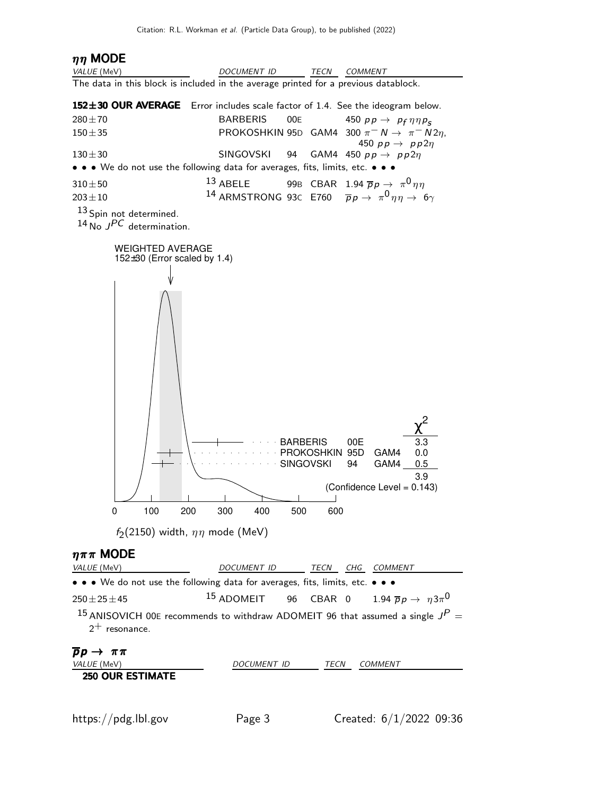# $\eta\eta$  MODE

| VALUE (MeV)                                                                         | DOCUMENT ID                                              | TECN<br><i>COMMENT</i>                                                                                                                                   |
|-------------------------------------------------------------------------------------|----------------------------------------------------------|----------------------------------------------------------------------------------------------------------------------------------------------------------|
| The data in this block is included in the average printed for a previous datablock. |                                                          |                                                                                                                                                          |
| 152±30 OUR AVERAGE                                                                  |                                                          | Error includes scale factor of 1.4. See the ideogram below.                                                                                              |
| $280 + 70$                                                                          | <b>BARBERIS</b><br>00E                                   | 450 $pp \rightarrow pp \eta \eta p_s$                                                                                                                    |
| $150 + 35$                                                                          |                                                          | PROKOSHKIN 95D GAM4 300 $\pi^- N \rightarrow \pi^- N 2\eta$ ,<br>450 $pp \rightarrow pp2\eta$                                                            |
| $130 + 30$                                                                          | <b>SINGOVSKI</b><br>94                                   | GAM4 450 $pp \rightarrow pp2\eta$                                                                                                                        |
| • • We do not use the following data for averages, fits, limits, etc. • • •         |                                                          |                                                                                                                                                          |
| $310 + 50$<br>$203 \pm 10$                                                          | $13$ ABELE                                               | 99B CBAR 1.94 $\overline{p}p \rightarrow \pi^0 \eta \eta$<br><sup>14</sup> ARMSTRONG 93C E760 $\bar{p}p \rightarrow \pi^0 \eta \eta \rightarrow 6\gamma$ |
| 13 Spin not determined.<br>$14$ No $JPC$ determination.                             |                                                          |                                                                                                                                                          |
| <b>WEIGHTED AVERAGE</b><br>152 $\pm$ 30 (Error scaled by 1.4)                       |                                                          |                                                                                                                                                          |
|                                                                                     |                                                          |                                                                                                                                                          |
| 100<br>200<br>0                                                                     | <b>BARBERIS</b><br><b>SINGOVSKI</b><br>400<br>300<br>500 | 3.3<br>00E<br>PROKOSHKIN 95D<br>GAM4<br>0.0<br>94<br>GAM4<br>0.5<br>3.9<br>(Confidence Level = 0.143)<br>600                                             |
| $f_2(2150)$ width, $\eta\eta$ mode (MeV)                                            |                                                          |                                                                                                                                                          |
| $\eta \pi \pi$ MODE                                                                 |                                                          |                                                                                                                                                          |
| VALUE (MeV)                                                                         | DOCUMENT ID                                              | TECN CHG COMMENT                                                                                                                                         |
| • • We do not use the following data for averages, fits, limits, etc. • • •         |                                                          |                                                                                                                                                          |
| $250 \pm 25 \pm 45$                                                                 | <sup>15</sup> ADOMEIT                                    | 96 CBAR 0<br>1.94 $\overline{p}p \rightarrow \eta 3\pi$ <sup>0</sup>                                                                                     |
| $2^+$ resonance.                                                                    |                                                          | <sup>15</sup> ANISOVICH 00E recommends to withdraw ADOMEIT 96 that assumed a single $J^P$ =                                                              |
| $\overline{p}p \rightarrow \pi\pi$                                                  |                                                          |                                                                                                                                                          |
| VALUE (MeV)<br><b>250 OUR ESTIMATE</b>                                              | DOCUMENT ID                                              | COMMENT<br>TECN                                                                                                                                          |
|                                                                                     |                                                          |                                                                                                                                                          |
| https://pdg.lbl.gov                                                                 | Page 3                                                   | Created: $6/1/2022$ 09:36                                                                                                                                |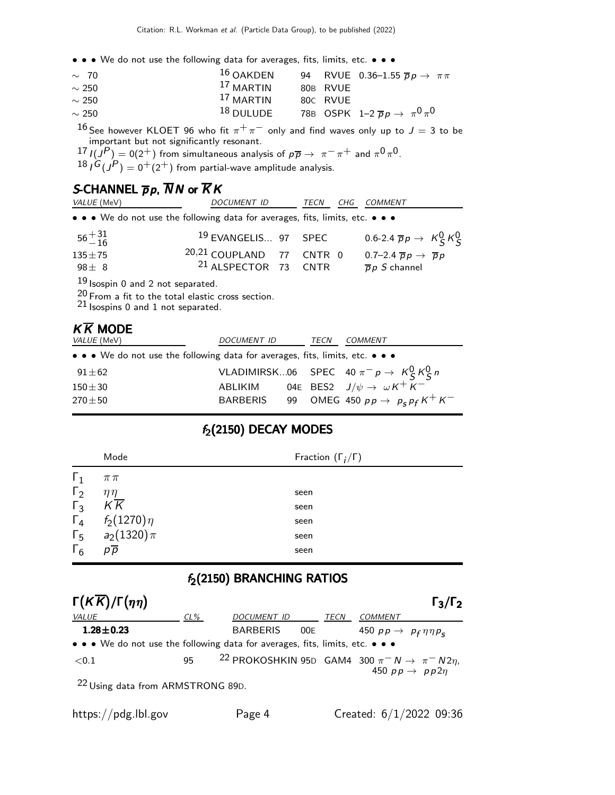• • • We do not use the following data for averages, fits, limits, etc. • • •

| $\sim 70$  | $16$ OAKDEN |          | 94 RVUE 0.36-1.55 $\overline{p}p \rightarrow \pi\pi$ |
|------------|-------------|----------|------------------------------------------------------|
| $\sim$ 250 | $17$ MARTIN | 80B RVUE |                                                      |
| $\sim$ 250 | $17$ MARTIN | 80C RVUE |                                                      |
| $\sim$ 250 | $18$ DULUDE |          | 78B OSPK 1-2 $\overline{p}p \rightarrow \pi^0 \pi^0$ |

 $^{16}$  See however KLOET 96 who fit  $\pi^+\pi^-$  only and find waves only up to  $J=3$  to be important but not significantly resonant.

 $17$   $I(J^P) = 0(2^+)$  from simultaneous analysis of  $p\overline{p} \rightarrow \pi^- \pi^+$  and  $\pi^0 \pi^0$ .

 $^{18}$  /  $^{G}(J^{P})=0^{+}(2^{+})$  from partial-wave amplitude analysis.

# S-CHANNEL  $\overline{p}p$ ,  $\overline{N}N$  or  $\overline{K}K$

| <i>VALUE</i> (MeV)       | DOCUMENT ID                                                                   | TECN | CHG COMMENT                                                                    |
|--------------------------|-------------------------------------------------------------------------------|------|--------------------------------------------------------------------------------|
|                          | • • • We do not use the following data for averages, fits, limits, etc. • • • |      |                                                                                |
| $56^{+31}_{-16}$         | <sup>19</sup> EVANGELIS 97 SPEC                                               |      | 0.6-2.4 $\overline{p}p \rightarrow K_S^0 K_S^0$                                |
| $135 \pm 75$<br>$98 + 8$ | 20,21 COUPLAND 77 CNTR 0<br><sup>21</sup> ALSPECTOR 73 CNTR                   |      | 0.7-2.4 $\overline{p}p \rightarrow \overline{p}p$<br>$\overline{p}p S$ channel |

19 Isospin 0 and 2 not separated.

20 From a fit to the total elastic cross section.

21 Isospins 0 and 1 not separated.

| <b>KK MODE</b>                                                                |                 |      |                                                  |
|-------------------------------------------------------------------------------|-----------------|------|--------------------------------------------------|
| <i>VALUE</i> (MeV)                                                            | DOCUMENT ID     | TECN | <b>COMMENT</b>                                   |
| • • • We do not use the following data for averages, fits, limits, etc. • • • |                 |      |                                                  |
| $91\pm62$                                                                     |                 |      | VLADIMIRSK06 SPEC 40 $\pi^- p \to K^0_S K^0_S n$ |
| $150\pm30$                                                                    | ABLIKIM         |      | 04E BES2 $J/\psi \rightarrow \omega K^+ K^-$     |
| $270 \pm 50$                                                                  | <b>BARBERIS</b> |      | 99 OMEG 450 $p p \rightarrow p_s p_f K^+ K^-$    |
|                                                                               |                 |      |                                                  |

## $f_2(2150)$  DECAY MODES

|            | Mode            | Fraction $(\Gamma_i/\Gamma)$ |
|------------|-----------------|------------------------------|
| $\Gamma_1$ | $\pi\pi$        |                              |
| $\Gamma_2$ | $\eta\eta$      | seen                         |
| $\Gamma_3$ | $K\overline{K}$ | seen                         |
| $\Gamma_4$ | $f_2(1270)\eta$ | seen                         |
| $\Gamma_5$ | $a_2(1320)\pi$  | seen                         |
| $\Gamma_6$ | $p\overline{p}$ | seen                         |
|            |                 |                              |

## $f_2(2150)$  BRANCHING RATIOS

| $\Gamma(K\overline{K})/\Gamma(\eta\eta)$                                                                 |        |                                                                     |      |                                       | $\Gamma_3/\Gamma_2$       |
|----------------------------------------------------------------------------------------------------------|--------|---------------------------------------------------------------------|------|---------------------------------------|---------------------------|
| <i>VALUE</i>                                                                                             | $CL\%$ | <b>DOCUMENT ID</b>                                                  | TECN | COMMENT                               |                           |
| $1.28 \pm 0.23$                                                                                          |        | <b>BARBERIS</b>                                                     | 00E  | 450 $pp \rightarrow pp \eta \eta p_S$ |                           |
| • • • We do not use the following data for averages, fits, limits, etc. • • •                            |        |                                                                     |      |                                       |                           |
| $<$ 0.1                                                                                                  | 95     | <sup>22</sup> PROKOSHKIN 95D GAM4 300 $\pi^- N \to \pi^- N 2\eta$ , |      |                                       | 450 $pp \rightarrow pp2n$ |
| $22$ H <sub>2</sub> $\mu$ $\mu$ $\mu$ $\mu$ $\mu$ $\mu$ $\mu$ $\sigma$ $\tau$ $\sigma$ $\sigma$ $\sigma$ |        |                                                                     |      |                                       |                           |

Using data from ARMSTRONG 89D.